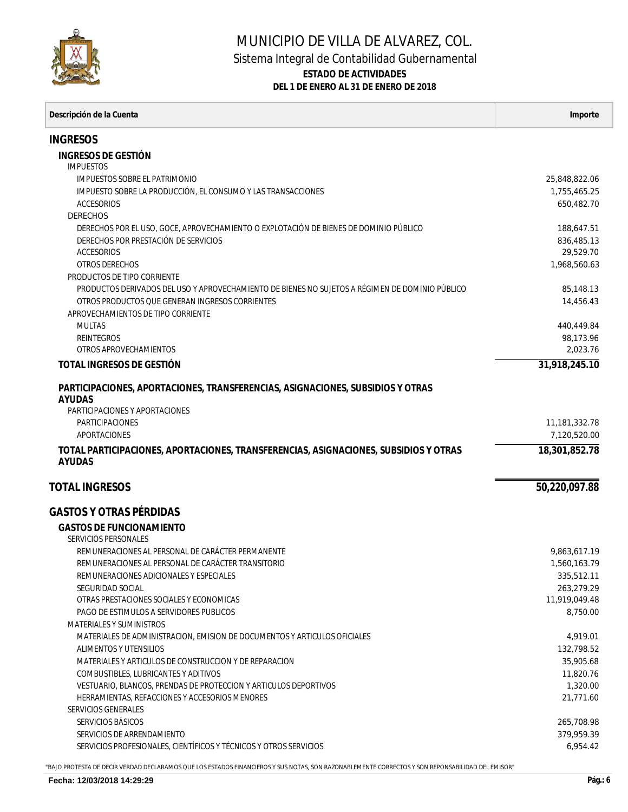

## MUNICIPIO DE VILLA DE ALVAREZ, COL. Sistema Integral de Contabilidad Gubernamental **ESTADO DE ACTIVIDADES DEL 1 DE ENERO AL 31 DE ENERO DE 2018**

| Descripción de la Cuenta                                                                              | Importe                   |
|-------------------------------------------------------------------------------------------------------|---------------------------|
| <b>INGRESOS</b>                                                                                       |                           |
| INGRESOS DE GESTIÓN                                                                                   |                           |
| <i>IMPUESTOS</i>                                                                                      |                           |
| IMPUESTOS SOBRE EL PATRIMONIO                                                                         | 25,848,822.06             |
| IMPUESTO SOBRE LA PRODUCCIÓN, EL CONSUMO Y LAS TRANSACCIONES                                          | 1,755,465.25              |
| <b>ACCESORIOS</b>                                                                                     | 650,482.70                |
| DERECHOS                                                                                              |                           |
| DERECHOS POR EL USO, GOCE, APROVECHAMIENTO O EXPLOTACIÓN DE BIENES DE DOMINIO PÚBLICO                 | 188,647.51                |
| DERECHOS POR PRESTACIÓN DE SERVICIOS<br><b>ACCESORIOS</b>                                             | 836,485.13                |
| <b>OTROS DERECHOS</b>                                                                                 | 29,529.70<br>1,968,560.63 |
| PRODUCTOS DE TIPO CORRIENTE                                                                           |                           |
| PRODUCTOS DERIVADOS DEL USO Y APROVECHAMIENTO DE BIENES NO SUJETOS A RÉGIMEN DE DOMINIO PÚBLICO       | 85,148.13                 |
| OTROS PRODUCTOS QUE GENERAN INGRESOS CORRIENTES                                                       | 14,456.43                 |
| APROVECHAMIENTOS DE TIPO CORRIENTE                                                                    |                           |
| <b>MULTAS</b>                                                                                         | 440,449.84                |
| <b>REINTEGROS</b>                                                                                     | 98.173.96                 |
| OTROS APROVECHAMIENTOS                                                                                | 2,023.76                  |
| TOTAL INGRESOS DE GESTIÓN                                                                             | 31,918,245.10             |
| PARTICIPACIONES, APORTACIONES, TRANSFERENCIAS, ASIGNACIONES, SUBSIDIOS Y OTRAS                        |                           |
| <b>AYUDAS</b>                                                                                         |                           |
| PARTICIPACIONES Y APORTACIONES                                                                        |                           |
| <b>PARTICIPACIONES</b>                                                                                | 11,181,332.78             |
| APORTACIONES                                                                                          | 7,120,520.00              |
| TOTAL PARTICIPACIONES, APORTACIONES, TRANSFERENCIAS, ASIGNACIONES, SUBSIDIOS Y OTRAS<br><b>AYUDAS</b> | 18,301,852.78             |
| <b>TOTAL INGRESOS</b>                                                                                 | 50,220,097.88             |
| <b>GASTOS Y OTRAS PÉRDIDAS</b>                                                                        |                           |
| <b>GASTOS DE FUNCIONAMIENTO</b>                                                                       |                           |
| SERVICIOS PERSONALES                                                                                  |                           |
| REMUNERACIONES AL PERSONAL DE CARÁCTER PERMANENTE                                                     | 9,863,617.19              |
| REMUNERACIONES AL PERSONAL DE CARÁCTER TRANSITORIO                                                    | 1,560,163.79              |
| REMUNERACIONES ADICIONALES Y ESPECIALES                                                               | 335,512.11                |
| SEGURIDAD SOCIAL                                                                                      | 263,279.29                |
| OTRAS PRESTACIONES SOCIALES Y ECONOMICAS                                                              | 11,919,049.48             |
| PAGO DE ESTIMULOS A SERVIDORES PUBLICOS<br>MATERIALES Y SUMINISTROS                                   | 8,750.00                  |
| MATERIALES DE ADMINISTRACION, EMISION DE DOCUMENTOS Y ARTICULOS OFICIALES                             | 4,919.01                  |
| <b>ALIMENTOS Y UTENSILIOS</b>                                                                         | 132,798.52                |
| MATERIALES Y ARTICULOS DE CONSTRUCCION Y DE REPARACION                                                | 35,905.68                 |
| <b>COMBUSTIBLES, LUBRICANTES Y ADITIVOS</b>                                                           | 11,820.76                 |
| VESTUARIO, BLANCOS, PRENDAS DE PROTECCION Y ARTICULOS DEPORTIVOS                                      | 1,320.00                  |
| HERRAMIENTAS, REFACCIONES Y ACCESORIOS MENORES                                                        | 21,771.60                 |
| SERVICIOS GENERALES                                                                                   |                           |
| SERVICIOS BÁSICOS                                                                                     | 265,708.98                |
| SERVICIOS DE ARRENDAMIENTO                                                                            | 379,959.39                |
| SERVICIOS PROFESIONALES, CIENTÍFICOS Y TÉCNICOS Y OTROS SERVICIOS                                     | 6,954.42                  |

"BAJO PROTESTA DE DECIR VERDAD DECLARAMOS QUE LOS ESTADOS FINANCIEROS Y SUS NOTAS, SON RAZONABLEMENTE CORRECTOS Y SON REPONSABILIDAD DEL EMISOR"